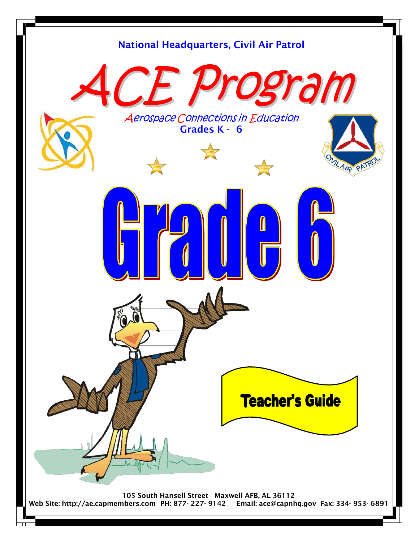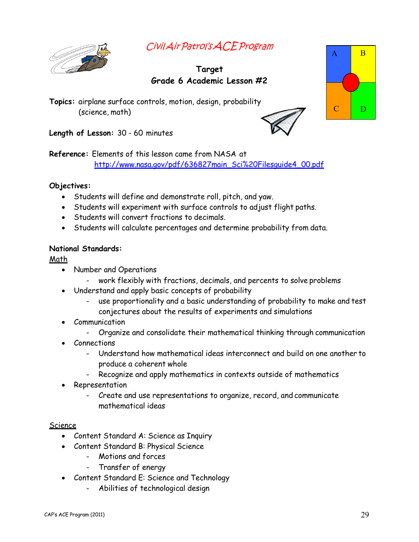



## **Target Grade 6 Academic Lesson #2**

**Topics:** airplane surface controls, motion, design, probability (science, math)



A B

 $C \cap D$ 

**Length of Lesson:** 30 - 60 minutes

**Reference:** Elements of this lesson came from NASA at

http://www.nasa.gov/pdf/636827main\_Sci%20Filesguide4\_00.pdf

## **Objectives:**

- Students will define and demonstrate roll, pitch, and yaw.
- Students will experiment with surface controls to adjust flight paths.
- Students will convert fractions to decimals.
- Students will calculate percentages and determine probability from data.

## **National Standards:**

Math

- Number and Operations
	- work flexibly with fractions, decimals, and percents to solve problems
- Understand and apply basic concepts of probability
	- use proportionality and a basic understanding of probability to make and test conjectures about the results of experiments and simulations
- Communication
	- Organize and consolidate their mathematical thinking through communication
- Connections
	- Understand how mathematical ideas interconnect and build on one another to produce a coherent whole
	- Recognize and apply mathematics in contexts outside of mathematics
- **Representation** 
	- Create and use representations to organize, record, and communicate mathematical ideas

## Science

- Content Standard A: Science as Inquiry
- Content Standard B: Physical Science
	- Motions and forces
	- Transfer of energy
- Content Standard E: Science and Technology
	- Abilities of technological design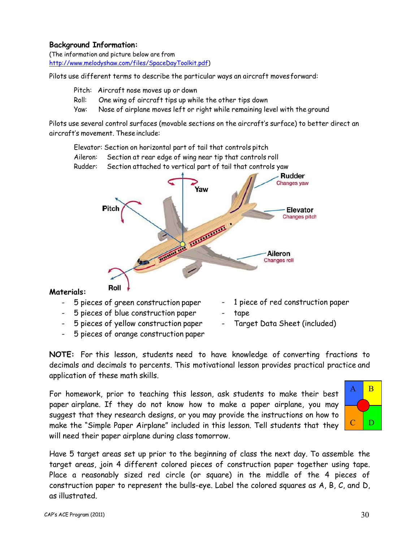#### **Background Information:**

(The information and picture below are from http://www.melodyshaw.com/files/SpaceDayToolkit.pdf)

Pilots use different terms to describe the particular ways an aircraft movesforward:

- Pitch: Aircraft nose moves up or down
- Roll: One wing of aircraft tips up while the other tips down
- Yaw: Nose of airplane moves left or right while remaining level with the ground

Pilots use several control surfaces (movable sections on the aircraft's surface) to better direct an aircraft·s movement. These include:

Elevator: Section on horizontal part of tail that controls pitch

- Aileron: Section at rear edge of wing near tip that controls roll
- Rudder: Section attached to vertical part of tail that controls yaw



#### **Materials:**

- 5 pieces of green construction paper
- 5 pieces of blue construction paper
- 5 pieces of yellow construction paper
- 5 pieces of orange construction paper
- 1 piece of red construction paper
- tape
- Target Data Sheet (included)

**NOTE:** For this lesson, students need to have knowledge of converting fractions to decimals and decimals to percents. This motivational lesson provides practical practice and application of these math skills.

For homework, prior to teaching this lesson, ask students to make their best paper airplane. If they do not know how to make a paper airplane, you may suggest that they research designs, or you may provide the instructions on how to make the "Simple Paper Airplane" included in this lesson. Tell students that they will need their paper airplane during class tomorrow.



Have 5 target areas set up prior to the beginning of class the next day. To assemble the target areas, join 4 different colored pieces of construction paper together using tape. Place a reasonably sized red circle (or square) in the middle of the 4 pieces of construction paper to represent the bulls-eye. Label the colored squares as A, B, C, and D, as illustrated.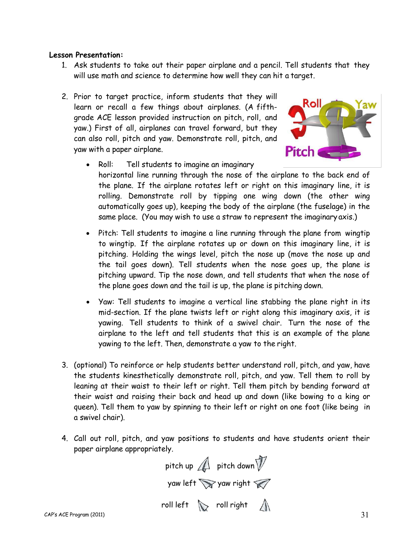#### **Lesson Presentation:**

- 1. Ask students to take out their paper airplane and a pencil. Tell students that they will use math and science to determine how well they can hit a target.
- 2. Prior to target practice, inform students that they will learn or recall a few things about airplanes. (A fifthgrade ACE lesson provided instruction on pitch, roll, and yaw.) First of all, airplanes can travel forward, but they can also roll, pitch and yaw. Demonstrate roll, pitch, and yaw with a paper airplane.



- Roll: Tell students to imagine an imaginary horizontal line running through the nose of the airplane to the back end of the plane. If the airplane rotates left or right on this imaginary line, it is rolling. Demonstrate roll by tipping one wing down (the other wing automatically goes up), keeping the body of the airplane (the fuselage) in the same place. (You may wish to use a straw to represent the imaginary axis.)
- Pitch: Tell students to imagine a line running through the plane from wingtip to wingtip. If the airplane rotates up or down on this imaginary line, it is pitching. Holding the wings level, pitch the nose up (move the nose up and the tail goes down). Tell students when the nose goes up, the plane is pitching upward. Tip the nose down, and tell students that when the nose of the plane goes down and the tail is up, the plane is pitching down.
- Yaw: Tell students to imagine a vertical line stabbing the plane right in its mid-section. If the plane twists left or right along this imaginary axis, it is yawing. Tell students to think of a swivel chair. Turn the nose of the airplane to the left and tell students that this is an example of the plane yawing to the left. Then, demonstrate a yaw to the right.
- 3. (optional) To reinforce or help students better understand roll, pitch, and yaw, have the students kinesthetically demonstrate roll, pitch, and yaw. Tell them to roll by leaning at their waist to their left or right. Tell them pitch by bending forward at their waist and raising their back and head up and down (like bowing to a king or queen). Tell them to yaw by spinning to their left or right on one foot (like being in a swivel chair).
- 4. Call out roll, pitch, and yaw positions to students and have students orient their paper airplane appropriately.

pitch up  $\mathbb A$  pitch down  $\mathbb V$ yaw left  $\sum$  yaw right  $\mathcal{D}$ roll left  $\sum$  roll right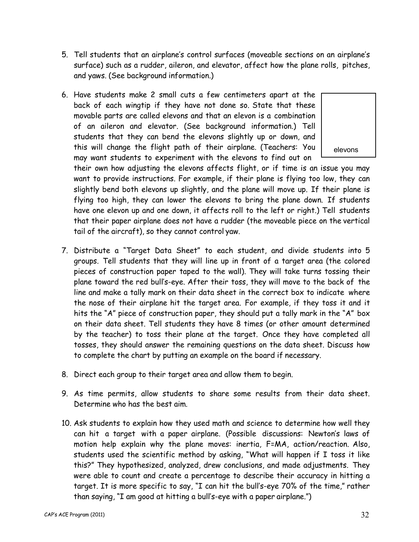- 5. Tell students that an airplane·s control surfaces (moveable sections on an airplane·s surface) such as a rudder, aileron, and elevator, affect how the plane rolls, pitches, and yaws. (See background information.)
- 6. Have students make 2 small cuts a few centimeters apart at the back of each wingtip if they have not done so. State that these movable parts are called elevons and that an elevon is a combination of an aileron and elevator. (See background information.) Tell students that they can bend the elevons slightly up or down, and this will change the flight path of their airplane. (Teachers: You may want students to experiment with the elevons to find out on



their own how adjusting the elevons affects flight, or if time is an issue you may want to provide instructions. For example, if their plane is flying too low, they can slightly bend both elevons up slightly, and the plane will move up. If their plane is flying too high, they can lower the elevons to bring the plane down. If students have one elevon up and one down, it affects roll to the left or right.) Tell students that their paper airplane does not have a rudder (the moveable piece on the vertical tail of the aircraft), so they cannot control yaw.

- 7. Distribute a "Target Data Sheet" to each student, and divide students into 5 groups. Tell students that they will line up in front of a target area (the colored pieces of construction paper taped to the wall). They will take turns tossing their plane toward the red bull·s-eye. After their toss, they will move to the back of the line and make a tally mark on their data sheet in the correct box to indicate where the nose of their airplane hit the target area. For example, if they toss it and it hits the "A" piece of construction paper, they should put a tally mark in the "A" box on their data sheet. Tell students they have 8 times (or other amount determined by the teacher) to toss their plane at the target. Once they have completed all tosses, they should answer the remaining questions on the data sheet. Discuss how to complete the chart by putting an example on the board if necessary.
- 8. Direct each group to their target area and allow them to begin.
- 9. As time permits, allow students to share some results from their data sheet. Determine who has the best aim.
- 10. Ask students to explain how they used math and science to determine how well they can hit a target with a paper airplane. (Possible discussions: Newton's laws of motion help explain why the plane moves: inertia, F=MA, action/reaction. Also, students used the scientific method by asking, "What will happen if I toss it like this?" They hypothesized, analyzed, drew conclusions, and made adjustments. They were able to count and create a percentage to describe their accuracy in hitting a target. It is more specific to say, "I can hit the bull's-eye 70% of the time," rather than saying, "I am good at hitting a bull's-eye with a paper airplane.")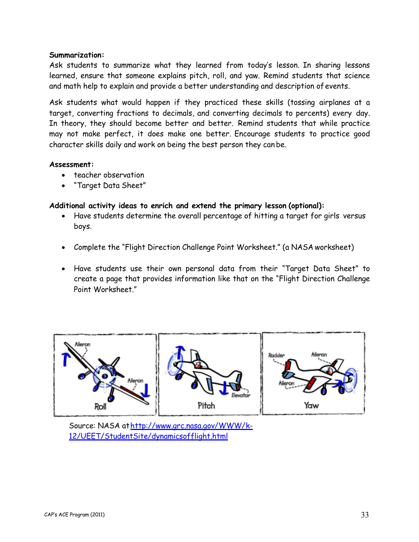#### **Summarization:**

Ask students to summarize what they learned from today's lesson. In sharing lessons learned, ensure that someone explains pitch, roll, and yaw. Remind students that science and math help to explain and provide a better understanding and description ofevents.

Ask students what would happen if they practiced these skills (tossing airplanes at a target, converting fractions to decimals, and converting decimals to percents) every day. In theory, they should become better and better. Remind students that while practice may not make perfect, it does make one better. Encourage students to practice good character skills daily and work on being the best person they can be.

#### **Assessment:**

- teacher observation
- "Target Data Sheet"

## **Additional activity ideas to enrich and extend the primary lesson (optional):**

- Have students determine the overall percentage of hitting a target for girls versus boys.
- Complete the "Flight Direction Challenge Point Worksheet." (a NASA worksheet)
- Have students use their own personal data from their "Target Data Sheet" to create a page that provides information like that on the ´Flight Direction Challenge Point Worksheet."



Source: NASA at http://www.grc.nasa.gov/WWW/k-12/UEET/StudentSite/dynamicsofflight.html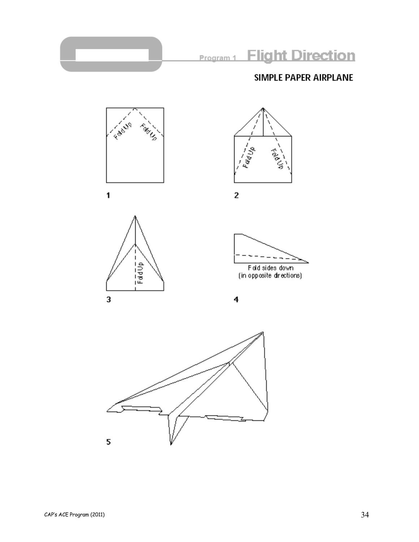



 $\mathbf{1}$ 



 $\mathbf 2$ 





Fold sides down<br>(in opposite directions)



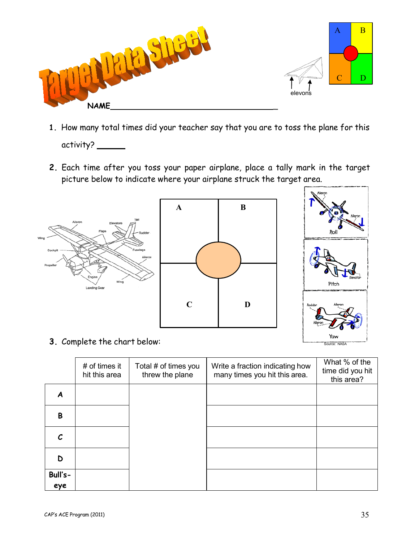

- **1.** How many total times did your teacher say that you are to toss the plane for this activity? \_\_\_\_\_\_\_
- **2.** Each time after you toss your paper airplane, place a tally mark in the target picture below to indicate where your airplane struck the target area.



**3.** Complete the chart below:

|                | $#$ of times it<br>hit this area | Total # of times you<br>threw the plane | Write a fraction indicating how<br>many times you hit this area. | What % of the<br>time did you hit<br>this area? |
|----------------|----------------------------------|-----------------------------------------|------------------------------------------------------------------|-------------------------------------------------|
| Α              |                                  |                                         |                                                                  |                                                 |
| B              |                                  |                                         |                                                                  |                                                 |
| C.             |                                  |                                         |                                                                  |                                                 |
| D              |                                  |                                         |                                                                  |                                                 |
| Bull's-<br>eye |                                  |                                         |                                                                  |                                                 |

Source: NASA

Yaw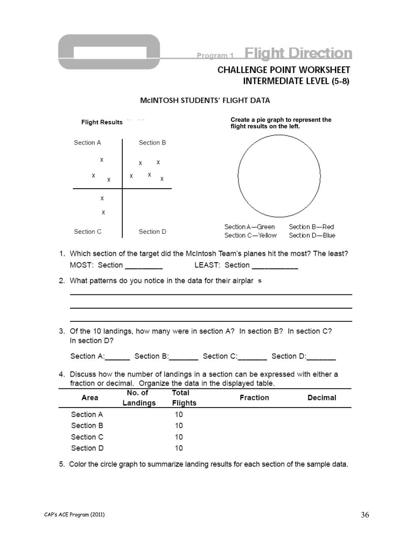

#### MCINTOSH STUDENTS' FLIGHT DATA

| Flight Results |                                                                                                                                                     |                 | Create a pie graph to represent the<br>flight results on the left.                     |  |  |  |
|----------------|-----------------------------------------------------------------------------------------------------------------------------------------------------|-----------------|----------------------------------------------------------------------------------------|--|--|--|
|                | Section A                                                                                                                                           | Section B       |                                                                                        |  |  |  |
|                | Х                                                                                                                                                   | Х<br>$x -$      |                                                                                        |  |  |  |
|                | Χ<br>X                                                                                                                                              | $x$ $\chi$<br>Χ |                                                                                        |  |  |  |
|                | X                                                                                                                                                   |                 |                                                                                        |  |  |  |
|                | X                                                                                                                                                   |                 |                                                                                        |  |  |  |
|                | Section C                                                                                                                                           | Section D       | Section A—Green<br>Section B—Red<br>Section C—Yellow<br>Section D-Blue                 |  |  |  |
|                |                                                                                                                                                     |                 | 1. Which section of the target did the McIntosh Team's planes hit the most? The least? |  |  |  |
|                |                                                                                                                                                     |                 | MOST: Section _________ UEAST: Section __________                                      |  |  |  |
|                | 2. What patterns do you notice in the data for their airplar s                                                                                      |                 |                                                                                        |  |  |  |
|                |                                                                                                                                                     |                 |                                                                                        |  |  |  |
|                |                                                                                                                                                     |                 |                                                                                        |  |  |  |
|                | In section D?                                                                                                                                       |                 | 3. Of the 10 landings, how many were in section A? In section B? In section C?         |  |  |  |
|                |                                                                                                                                                     |                 | Section A: _______ Section B: _______ Section C: _______ Section D: _______            |  |  |  |
|                | 4. Discuss how the number of landings in a section can be expressed with either a<br>fraction or decimal. Organize the data in the displayed table. |                 |                                                                                        |  |  |  |

| Area      | No. of<br>Landings | Total<br><b>Flights</b> | <b>Fraction</b> | Decimal |
|-----------|--------------------|-------------------------|-----------------|---------|
| Section A |                    | 10                      |                 |         |
| Section B |                    | 10                      |                 |         |
| Section C |                    | 10                      |                 |         |
| Section D |                    | 10                      |                 |         |

5. Color the circle graph to summarize landing results for each section of the sample data.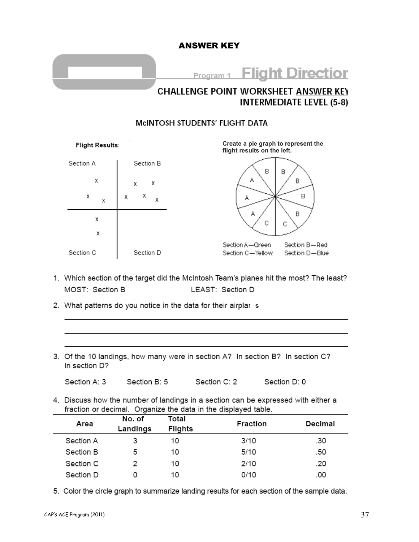## ANSWER KEY



# **CHALLENGE POINT WORKSHEET ANSWER KEY INTERMEDIATE LEVEL (5-8)**

### MCINTOSH STUDENTS' FLIGHT DATA



- 1. Which section of the target did the McIntosh Team's planes hit the most? The least? MOST: Section B LEAST: Section D
- 2. What patterns do you notice in the data for their airplar s
- 3. Of the 10 landings, how many were in section A? In section B? In section C? In section D?

Section A: 3 Section B: 5 Section C: 2 Section D: 0

4. Discuss how the number of landings in a section can be expressed with either a fraction or decimal. Organize the data in the displayed table.

| Area      | No. of<br>Landings | Total<br><b>Flights</b> | <b>Fraction</b> | Decimal |
|-----------|--------------------|-------------------------|-----------------|---------|
| Section A |                    | 10                      | 3/10            | .30     |
| Section B | 5                  | 10                      | 5/10            | .50     |
| Section C |                    | 10                      | 2/10            | .20     |
| Section D |                    | 10                      | 0/10            | .00     |

5. Color the circle graph to summarize landing results for each section of the sample data.